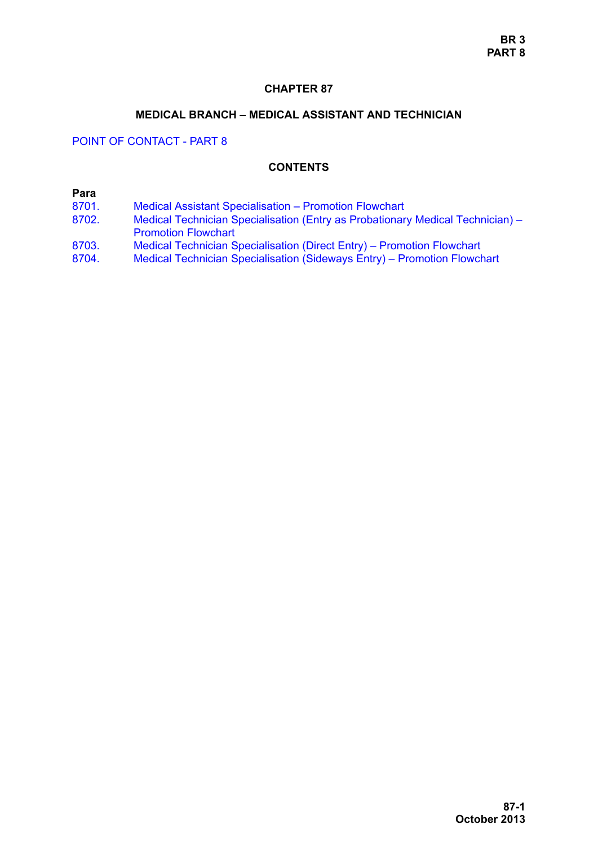## **CHAPTER 87**

#### **MEDICAL BRANCH – MEDICAL ASSISTANT AND TECHNICIAN**

POINT OF CONTACT - PART 8

## **CONTENTS**

## **Para**

- [8701. Medical Assistant Specialisation Promotion Flowchart](#page-1-0)
- [8702. Medical Technician Specialisation \(Entry as Probationary Medical Technician\)](#page-9-0)  Promotion Flowchart
- [8703. Medical Technician Specialisation \(Direct Entry\) Promotion Flowchart](#page-11-0)<br>8704. Medical Technician Specialisation (Sideways Entry) Promotion Flowch
- [8704. Medical Technician Specialisation \(Sideways Entry\) Promotion Flowchart](#page-12-0)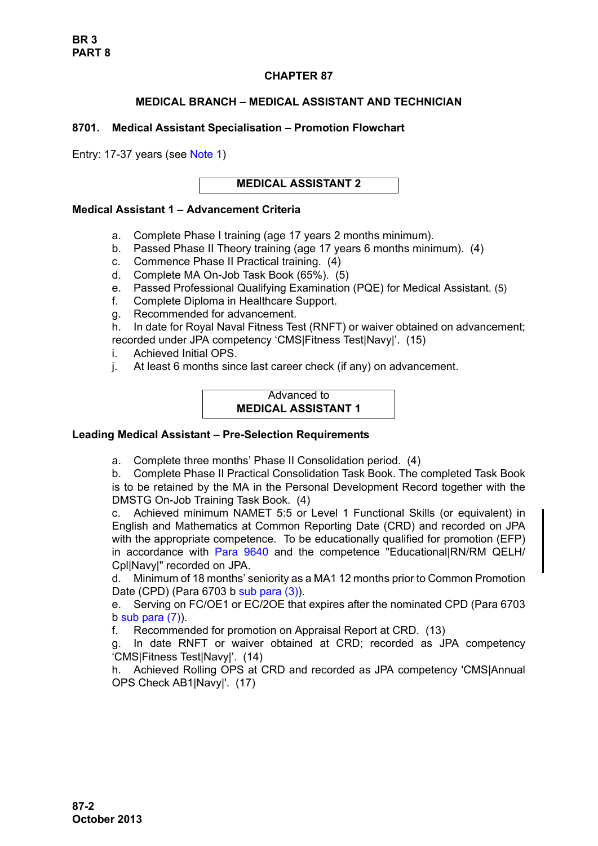# **CHAPTER 87**

## **MEDICAL BRANCH – MEDICAL ASSISTANT AND TECHNICIAN**

## <span id="page-1-0"></span>**8701. Medical Assistant Specialisation – Promotion Flowchart**

Entry: 17-37 years (see [Note 1\)](#page-3-0)

**MEDICAL ASSISTANT 2** 

## **Medical Assistant 1 – Advancement Criteria**

- a. Complete Phase I training (age 17 years 2 months minimum).
- b. Passed Phase II Theory training (age 17 years 6 months minimum). (4)
- c. Commence Phase II Practical training. (4)
- d. Complete MA On-Job Task Book (65%). (5)
- e. Passed Professional Qualifying Examination (PQE) for Medical Assistant. (5)
- f. Complete Diploma in Healthcare Support.
- g. Recommended for advancement.
- h. In date for Royal Naval Fitness Test (RNFT) or waiver obtained on advancement; recorded under JPA competency 'CMS|Fitness Test|Navy|'. (15)
- i. Achieved Initial OPS.
- j. At least 6 months since last career check (if any) on advancement.

## Advanced to **MEDICAL ASSISTANT 1**

# **Leading Medical Assistant – Pre-Selection Requirements**

a. Complete three months' Phase II Consolidation period. (4)

b. Complete Phase II Practical Consolidation Task Book. The completed Task Book is to be retained by the MA in the Personal Development Record together with the DMSTG On-Job Training Task Book. (4)

c. Achieved minimum NAMET 5:5 or Level 1 Functional Skills (or equivalent) in English and Mathematics at Common Reporting Date (CRD) and recorded on JPA with the appropriate competence. To be educationally qualified for promotion (EFP) in accordance with [Para 9640](#page-34-0) and the competence "Educational|RN/RM QELH/ Cpl|Navy|" recorded on JPA.

d. Minimum of 18 months' seniority as a MA1 12 months prior to Common Promotion Date (CPD) (Para 6703 b sub para (3)).

e. Serving on FC/OE1 or EC/2OE that expires after the nominated CPD (Para 6703  $b$  sub para  $(7)$ ).

f. Recommended for promotion on Appraisal Report at CRD. (13)

g. In date RNFT or waiver obtained at CRD; recorded as JPA competency 'CMS|Fitness Test|Navy|'. (14)

h. Achieved Rolling OPS at CRD and recorded as JPA competency 'CMS|Annual OPS Check AB1|Navy|'. (17)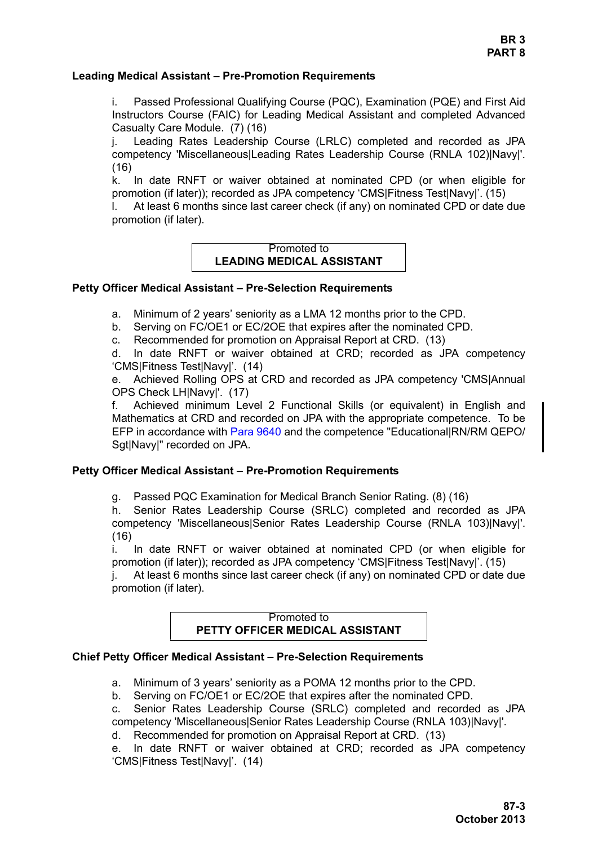#### **Leading Medical Assistant – Pre-Promotion Requirements**

i. Passed Professional Qualifying Course (PQC), Examination (PQE) and First Aid Instructors Course (FAIC) for Leading Medical Assistant and completed Advanced Casualty Care Module. (7) (16)

j. Leading Rates Leadership Course (LRLC) completed and recorded as JPA competency 'Miscellaneous|Leading Rates Leadership Course (RNLA 102)|Navy|'. (16)

k. In date RNFT or waiver obtained at nominated CPD (or when eligible for promotion (if later)); recorded as JPA competency 'CMS|Fitness Test|Navy|'. (15)

l. At least 6 months since last career check (if any) on nominated CPD or date due promotion (if later).

## Promoted to **LEADING MEDICAL ASSISTANT**

#### **Petty Officer Medical Assistant – Pre-Selection Requirements**

- a. Minimum of 2 years' seniority as a LMA 12 months prior to the CPD.
- b. Serving on FC/OE1 or EC/2OE that expires after the nominated CPD.
- c. Recommended for promotion on Appraisal Report at CRD. (13)

d. In date RNFT or waiver obtained at CRD; recorded as JPA competency 'CMS|Fitness Test|Navy|'. (14)

e. Achieved Rolling OPS at CRD and recorded as JPA competency 'CMS|Annual OPS Check LH|Navy|'. (17)

f. Achieved minimum Level 2 Functional Skills (or equivalent) in English and Mathematics at CRD and recorded on JPA with the appropriate competence. To be EFP in accordance with [Para 9640](#page-34-0) and the competence "Educational|RN/RM QEPO/ Sgt|Navy|" recorded on JPA.

## **Petty Officer Medical Assistant – Pre-Promotion Requirements**

g. Passed PQC Examination for Medical Branch Senior Rating. (8) (16)

h. Senior Rates Leadership Course (SRLC) completed and recorded as JPA competency 'Miscellaneous|Senior Rates Leadership Course (RNLA 103)|Navy|'. (16)

i. In date RNFT or waiver obtained at nominated CPD (or when eligible for promotion (if later)); recorded as JPA competency 'CMS|Fitness Test|Navy|'. (15)

j. At least 6 months since last career check (if any) on nominated CPD or date due promotion (if later).

#### Promoted to **PETTY OFFICER MEDICAL ASSISTANT**

### **Chief Petty Officer Medical Assistant – Pre-Selection Requirements**

a. Minimum of 3 years' seniority as a POMA 12 months prior to the CPD.

b. Serving on FC/OE1 or EC/2OE that expires after the nominated CPD.

c. Senior Rates Leadership Course (SRLC) completed and recorded as JPA competency 'Miscellaneous|Senior Rates Leadership Course (RNLA 103)|Navy|'.

d. Recommended for promotion on Appraisal Report at CRD. (13)

e. In date RNFT or waiver obtained at CRD; recorded as JPA competency 'CMS|Fitness Test|Navy|'. (14)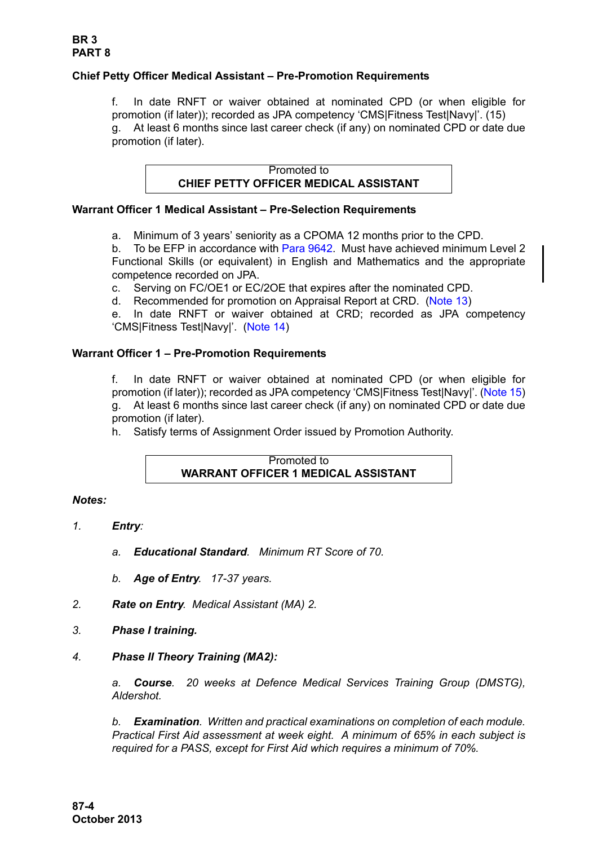# **Chief Petty Officer Medical Assistant – Pre-Promotion Requirements**

f. In date RNFT or waiver obtained at nominated CPD (or when eligible for promotion (if later)); recorded as JPA competency 'CMS|Fitness Test|Navy|'. (15) g. At least 6 months since last career check (if any) on nominated CPD or date due promotion (if later).

> Promoted to **CHIEF PETTY OFFICER MEDICAL ASSISTANT**

## **Warrant Officer 1 Medical Assistant – Pre-Selection Requirements**

a. Minimum of 3 years' seniority as a CPOMA 12 months prior to the CPD.

b. To be EFP in accordance with [Para 9642.](#page-35-0) Must have achieved minimum Level 2 Functional Skills (or equivalent) in English and Mathematics and the appropriate competence recorded on JPA.

c. Serving on FC/OE1 or EC/2OE that expires after the nominated CPD.

d. Recommended for promotion on Appraisal Report at CRD. [\(Note 13\)](#page-8-0)

e. In date RNFT or waiver obtained at CRD; recorded as JPA competency 'CMS|Fitness Test|Navy|'. ([Note 14](#page-8-1))

## **Warrant Officer 1 – Pre-Promotion Requirements**

f. In date RNFT or waiver obtained at nominated CPD (or when eligible for promotion (if later)); recorded as JPA competency 'CMS|Fitness Test|Navy|'. ([Note 15\)](#page-8-2) g. At least 6 months since last career check (if any) on nominated CPD or date due promotion (if later).

h. Satisfy terms of Assignment Order issued by Promotion Authority.

#### Promoted to **WARRANT OFFICER 1 MEDICAL ASSISTANT**

### *Notes:*

- <span id="page-3-0"></span>*1. Entry:*
	- *a. Educational Standard. Minimum RT Score of 70.*
	- *b. Age of Entry. 17-37 years.*
- *2. Rate on Entry. Medical Assistant (MA) 2.*
- *3. Phase I training.*

# *4. Phase II Theory Training (MA2):*

*a. Course. 20 weeks at Defence Medical Services Training Group (DMSTG), Aldershot.*

*b. Examination. Written and practical examinations on completion of each module. Practical First Aid assessment at week eight. A minimum of 65% in each subject is required for a PASS, except for First Aid which requires a minimum of 70%.*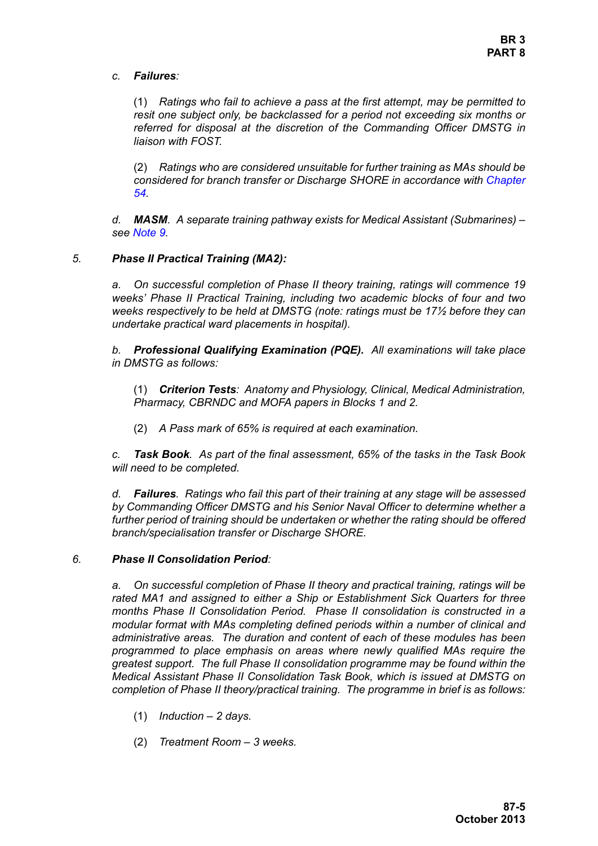*c. Failures:* 

(1) *Ratings who fail to achieve a pass at the first attempt, may be permitted to resit one subject only, be backclassed for a period not exceeding six months or referred for disposal at the discretion of the Commanding Officer DMSTG in liaison with FOST.*

(2) *Ratings who are considered unsuitable for further training as MAs should be considered for branch transfer or Discharge SHORE in accordance with Chapter 54.*

*d. MASM. A separate training pathway exists for Medical Assistant (Submarines) – see [Note 9.](#page-6-0)* 

### *5. Phase II Practical Training (MA2):*

*a. On successful completion of Phase II theory training, ratings will commence 19 weeks' Phase II Practical Training, including two academic blocks of four and two weeks respectively to be held at DMSTG (note: ratings must be 17½ before they can undertake practical ward placements in hospital).*

*b. Professional Qualifying Examination (PQE). All examinations will take place in DMSTG as follows:*

(1) *Criterion Tests: Anatomy and Physiology, Clinical, Medical Administration, Pharmacy, CBRNDC and MOFA papers in Blocks 1 and 2.*

(2) *A Pass mark of 65% is required at each examination.*

*c. Task Book. As part of the final assessment, 65% of the tasks in the Task Book will need to be completed.*

*d. Failures. Ratings who fail this part of their training at any stage will be assessed by Commanding Officer DMSTG and his Senior Naval Officer to determine whether a further period of training should be undertaken or whether the rating should be offered branch/specialisation transfer or Discharge SHORE.*

### *6. Phase II Consolidation Period:*

*a. On successful completion of Phase II theory and practical training, ratings will be rated MA1 and assigned to either a Ship or Establishment Sick Quarters for three months Phase II Consolidation Period. Phase II consolidation is constructed in a modular format with MAs completing defined periods within a number of clinical and administrative areas. The duration and content of each of these modules has been programmed to place emphasis on areas where newly qualified MAs require the greatest support. The full Phase II consolidation programme may be found within the Medical Assistant Phase II Consolidation Task Book, which is issued at DMSTG on completion of Phase II theory/practical training. The programme in brief is as follows:*

- (1) *Induction 2 days.*
- (2) *Treatment Room 3 weeks.*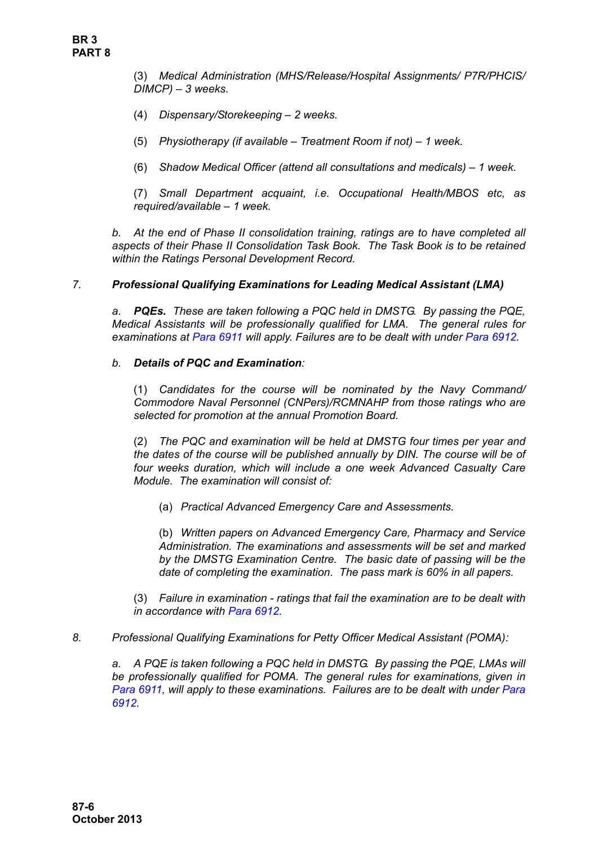(3) *Medical Administration (MHS/Release/Hospital Assignments/ P7R/PHCIS/ DIMCP) – 3 weeks.*

- (4) *Dispensary/Storekeeping 2 weeks.*
- (5) *Physiotherapy (if available Treatment Room if not) 1 week.*
- (6) *Shadow Medical Officer (attend all consultations and medicals) 1 week.*

(7) *Small Department acquaint, i.e. Occupational Health/MBOS etc, as required/available – 1 week.*

*b. At the end of Phase II consolidation training, ratings are to have completed all aspects of their Phase II Consolidation Task Book. The Task Book is to be retained within the Ratings Personal Development Record.*

### *7. Professional Qualifying Examinations for Leading Medical Assistant (LMA)*

*a. PQEs. These are taken following a PQC held in DMSTG. By passing the PQE, Medical Assistants will be professionally qualified for LMA. The general rules for examinations at Para 6911 will apply. Failures are to be dealt with under Para 6912*.

### *b. Details of PQC and Examination:*

(1) *Candidates for the course will be nominated by the Navy Command/ Commodore Naval Personnel (CNPers)/RCMNAHP from those ratings who are selected for promotion at the annual Promotion Board.* 

(2) *The PQC and examination will be held at DMSTG four times per year and the dates of the course will be published annually by DIN. The course will be of four weeks duration, which will include a one week Advanced Casualty Care Module. The examination will consist of:*

(a) *Practical Advanced Emergency Care and Assessments.*

(b) *Written papers on Advanced Emergency Care, Pharmacy and Service Administration. The examinations and assessments will be set and marked by the DMSTG Examination Centre. The basic date of passing will be the date of completing the examination. The pass mark is 60% in all papers.*

(3) *Failure in examination - ratings that fail the examination are to be dealt with in accordance with Para 6912.*

*8. Professional Qualifying Examinations for Petty Officer Medical Assistant (POMA):*

*a. A PQE is taken following a PQC held in DMSTG. By passing the PQE, LMAs will be professionally qualified for POMA. The general rules for examinations, given in Para 6911, will apply to these examinations. Failures are to be dealt with under Para 6912.*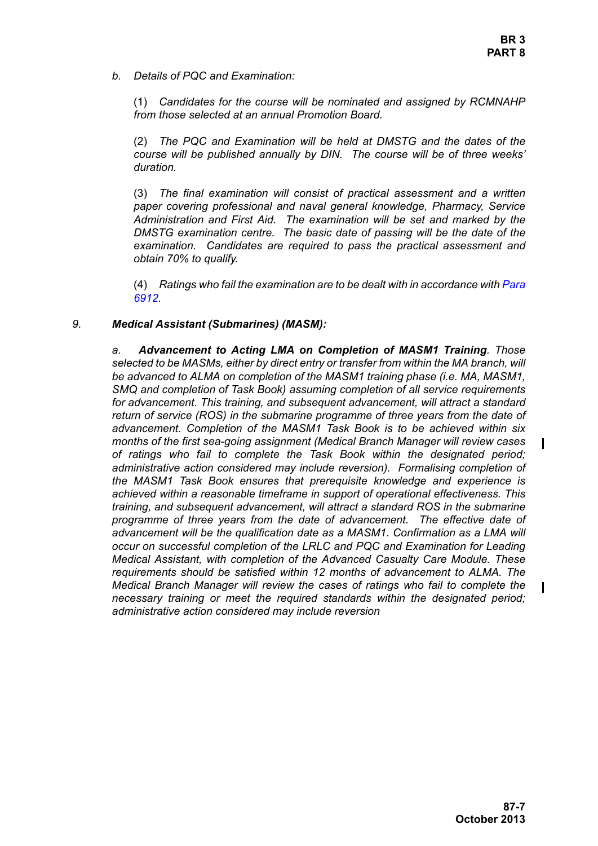*b. Details of PQC and Examination:*

(1) *Candidates for the course will be nominated and assigned by RCMNAHP from those selected at an annual Promotion Board.*

(2) *The PQC and Examination will be held at DMSTG and the dates of the course will be published annually by DIN. The course will be of three weeks' duration.*

(3) *The final examination will consist of practical assessment and a written paper covering professional and naval general knowledge, Pharmacy, Service Administration and First Aid. The examination will be set and marked by the DMSTG examination centre. The basic date of passing will be the date of the examination. Candidates are required to pass the practical assessment and obtain 70% to qualify.*

(4) *Ratings who fail the examination are to be dealt with in accordance with Para 6912.*

## <span id="page-6-0"></span>*9. Medical Assistant (Submarines) (MASM):*

*a. Advancement to Acting LMA on Completion of MASM1 Training. Those selected to be MASMs, either by direct entry or transfer from within the MA branch, will be advanced to ALMA on completion of the MASM1 training phase (i.e. MA, MASM1, SMQ and completion of Task Book) assuming completion of all service requirements for advancement. This training, and subsequent advancement, will attract a standard return of service (ROS) in the submarine programme of three years from the date of advancement. Completion of the MASM1 Task Book is to be achieved within six months of the first sea-going assignment (Medical Branch Manager will review cases of ratings who fail to complete the Task Book within the designated period; administrative action considered may include reversion). Formalising completion of the MASM1 Task Book ensures that prerequisite knowledge and experience is achieved within a reasonable timeframe in support of operational effectiveness. This training, and subsequent advancement, will attract a standard ROS in the submarine programme of three years from the date of advancement. The effective date of advancement will be the qualification date as a MASM1. Confirmation as a LMA will occur on successful completion of the LRLC and PQC and Examination for Leading Medical Assistant, with completion of the Advanced Casualty Care Module. These requirements should be satisfied within 12 months of advancement to ALMA. The Medical Branch Manager will review the cases of ratings who fail to complete the necessary training or meet the required standards within the designated period; administrative action considered may include reversion*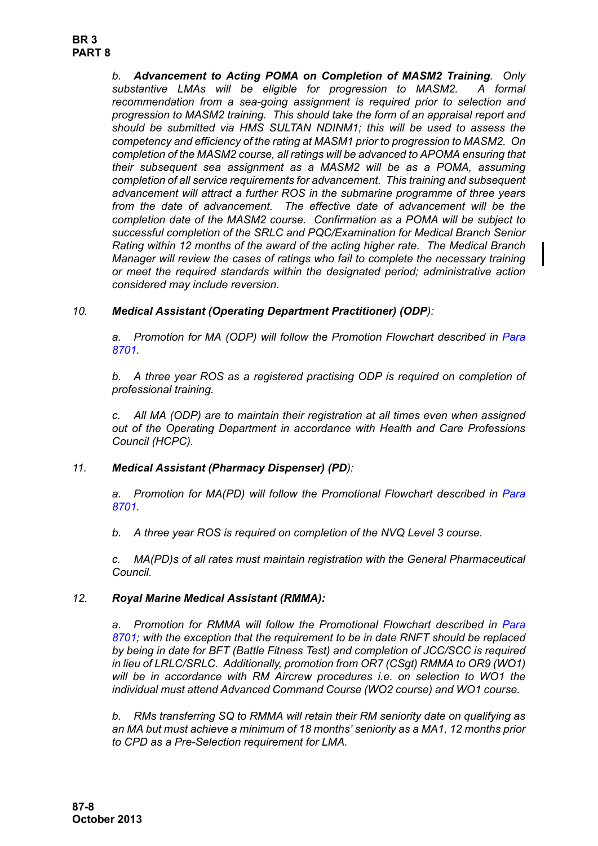*b. Advancement to Acting POMA on Completion of MASM2 Training. Only substantive LMAs will be eligible for progression to MASM2. A formal recommendation from a sea-going assignment is required prior to selection and progression to MASM2 training. This should take the form of an appraisal report and should be submitted via HMS SULTAN NDINM1; this will be used to assess the competency and efficiency of the rating at MASM1 prior to progression to MASM2. On completion of the MASM2 course, all ratings will be advanced to APOMA ensuring that their subsequent sea assignment as a MASM2 will be as a POMA, assuming completion of all service requirements for advancement. This training and subsequent advancement will attract a further ROS in the submarine programme of three years from the date of advancement. The effective date of advancement will be the completion date of the MASM2 course. Confirmation as a POMA will be subject to successful completion of the SRLC and PQC/Examination for Medical Branch Senior Rating within 12 months of the award of the acting higher rate. The Medical Branch Manager will review the cases of ratings who fail to complete the necessary training or meet the required standards within the designated period; administrative action considered may include reversion.*

# *10. Medical Assistant (Operating Department Practitioner) (ODP):*

a. Promotion for MA (ODP) will follow the Promotion Flowchart described in [Para](#page-1-0) *[8701.](#page-1-0)*

*b. A three year ROS as a registered practising ODP is required on completion of professional training.*

*c. All MA (ODP) are to maintain their registration at all times even when assigned out of the Operating Department in accordance with Health and Care Professions Council (HCPC).*

# *11. Medical Assistant (Pharmacy Dispenser) (PD):*

a. Promotion for MA(PD) will follow the Promotional Flowchart described in [Para](#page-1-0) *[8701.](#page-1-0)*

*b. A three year ROS is required on completion of the NVQ Level 3 course.*

*c. MA(PD)s of all rates must maintain registration with the General Pharmaceutical Council.*

### <span id="page-7-1"></span><span id="page-7-0"></span>*12. Royal Marine Medical Assistant (RMMA):*

a. Promotion for RMMA will follow the Promotional Flowchart described in [Para](#page-1-0) *[8701;](#page-1-0) with the exception that the requirement to be in date RNFT should be replaced by being in date for BFT (Battle Fitness Test) and completion of JCC/SCC is required in lieu of LRLC/SRLC. Additionally, promotion from OR7 (CSgt) RMMA to OR9 (WO1) will be in accordance with RM Aircrew procedures i.e. on selection to WO1 the individual must attend Advanced Command Course (WO2 course) and WO1 course.* 

*b. RMs transferring SQ to RMMA will retain their RM seniority date on qualifying as an MA but must achieve a minimum of 18 months' seniority as a MA1, 12 months prior to CPD as a Pre-Selection requirement for LMA.*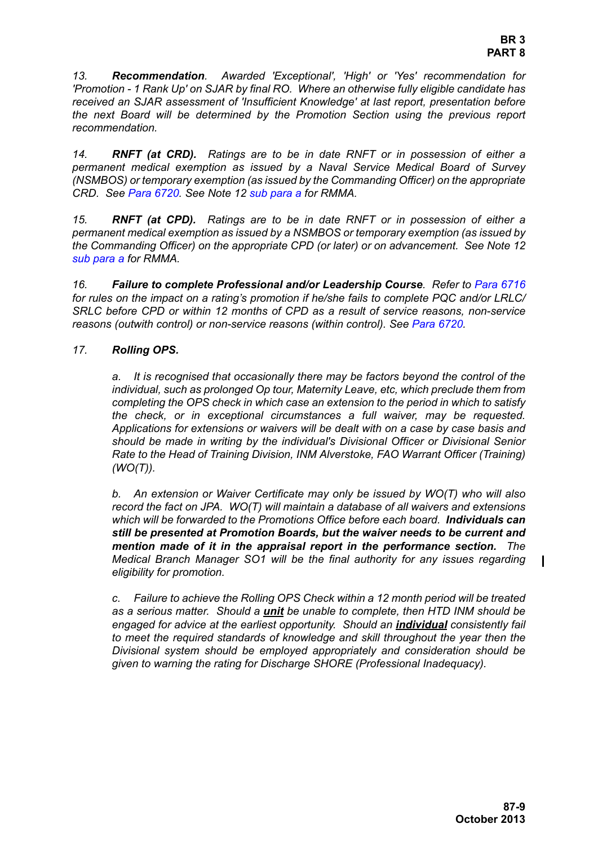<span id="page-8-0"></span>*13. Recommendation. Awarded 'Exceptional', 'High' or 'Yes' recommendation for 'Promotion - 1 Rank Up' on SJAR by final RO. Where an otherwise fully eligible candidate has received an SJAR assessment of 'Insufficient Knowledge' at last report, presentation before the next Board will be determined by the Promotion Section using the previous report recommendation.* 

<span id="page-8-1"></span>*14. RNFT (at CRD). Ratings are to be in date RNFT or in possession of either a permanent medical exemption as issued by a Naval Service Medical Board of Survey (NSMBOS) or temporary exemption (as issued by the Commanding Officer) on the appropriate CRD. See Para 6720. See [Note 12](#page-7-0) [sub para a](#page-7-1) for RMMA.*

<span id="page-8-2"></span>*15. RNFT (at CPD). Ratings are to be in date RNFT or in possession of either a permanent medical exemption as issued by a NSMBOS or temporary exemption (as issued by the Commanding Officer) on the appropriate CPD (or later) or on advancement. See [Note 12](#page-7-0) [sub para a](#page-7-1) for RMMA.*

*16. Failure to complete Professional and/or Leadership Course. Refer to Para 6716 for rules on the impact on a rating's promotion if he/she fails to complete PQC and/or LRLC/ SRLC before CPD or within 12 months of CPD as a result of service reasons, non-service reasons (outwith control) or non-service reasons (within control). See Para 6720.*

## *17. Rolling OPS.*

*a. It is recognised that occasionally there may be factors beyond the control of the individual, such as prolonged Op tour, Maternity Leave, etc, which preclude them from completing the OPS check in which case an extension to the period in which to satisfy the check, or in exceptional circumstances a full waiver, may be requested. Applications for extensions or waivers will be dealt with on a case by case basis and should be made in writing by the individual's Divisional Officer or Divisional Senior Rate to the Head of Training Division, INM Alverstoke, FAO Warrant Officer (Training) (WO(T)).* 

*b. An extension or Waiver Certificate may only be issued by WO(T) who will also record the fact on JPA. WO(T) will maintain a database of all waivers and extensions which will be forwarded to the Promotions Office before each board. Individuals can still be presented at Promotion Boards, but the waiver needs to be current and mention made of it in the appraisal report in the performance section. The Medical Branch Manager SO1 will be the final authority for any issues regarding eligibility for promotion.* 

*c. Failure to achieve the Rolling OPS Check within a 12 month period will be treated as a serious matter. Should a unit be unable to complete, then HTD INM should be engaged for advice at the earliest opportunity. Should an individual consistently fail to meet the required standards of knowledge and skill throughout the year then the Divisional system should be employed appropriately and consideration should be given to warning the rating for Discharge SHORE (Professional Inadequacy).*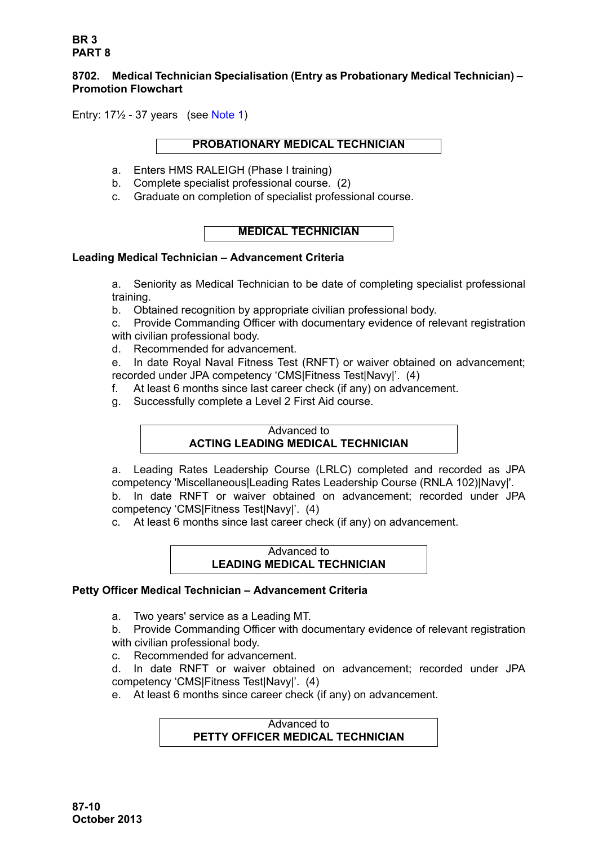## <span id="page-9-1"></span><span id="page-9-0"></span>**8702. Medical Technician Specialisation (Entry as Probationary Medical Technician) – Promotion Flowchart**

Entry: 17½ - 37 years (see [Note 1\)](#page-11-1)

## **PROBATIONARY MEDICAL TECHNICIAN**

- a. Enters HMS RALEIGH (Phase I training)
- b. Complete specialist professional course. (2)
- c. Graduate on completion of specialist professional course.

# **MEDICAL TECHNICIAN**

## **Leading Medical Technician – Advancement Criteria**

a. Seniority as Medical Technician to be date of completing specialist professional training.

b. Obtained recognition by appropriate civilian professional body.

c. Provide Commanding Officer with documentary evidence of relevant registration with civilian professional body.

d. Recommended for advancement.

e. In date Royal Naval Fitness Test (RNFT) or waiver obtained on advancement; recorded under JPA competency 'CMS|Fitness Test|Navy|'. (4)

- f. At least 6 months since last career check (if any) on advancement.
- g. Successfully complete a Level 2 First Aid course.

### Advanced to **ACTING LEADING MEDICAL TECHNICIAN**

a. Leading Rates Leadership Course (LRLC) completed and recorded as JPA competency 'Miscellaneous|Leading Rates Leadership Course (RNLA 102)|Navy|'. b. In date RNFT or waiver obtained on advancement; recorded under JPA competency 'CMS|Fitness Test|Navy|'. (4)

c. At least 6 months since last career check (if any) on advancement.

# Advanced to **LEADING MEDICAL TECHNICIAN**

# **Petty Officer Medical Technician – Advancement Criteria**

a. Two years' service as a Leading MT.

b. Provide Commanding Officer with documentary evidence of relevant registration with civilian professional body.

c. Recommended for advancement.

d. In date RNFT or waiver obtained on advancement; recorded under JPA competency 'CMS|Fitness Test|Navy|'. (4)

e. At least 6 months since career check (if any) on advancement.

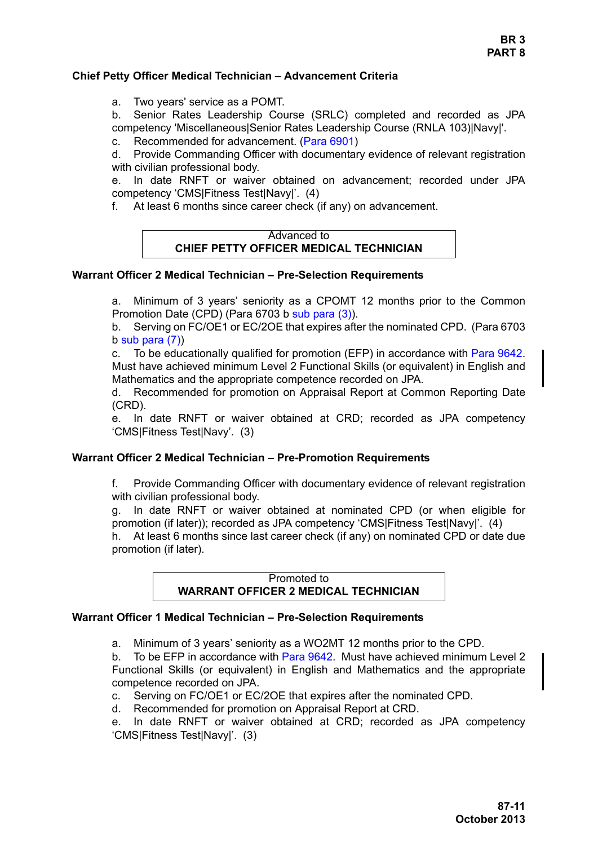**BR 3 PART 8**

#### **Chief Petty Officer Medical Technician – Advancement Criteria**

a. Two years' service as a POMT.

b. Senior Rates Leadership Course (SRLC) completed and recorded as JPA competency 'Miscellaneous|Senior Rates Leadership Course (RNLA 103)|Navy|'.

c. Recommended for advancement. (Para 6901)

d. Provide Commanding Officer with documentary evidence of relevant registration with civilian professional body.

e. In date RNFT or waiver obtained on advancement; recorded under JPA competency 'CMS|Fitness Test|Navy|'. (4)

f. At least 6 months since career check (if any) on advancement.



#### **Warrant Officer 2 Medical Technician – Pre-Selection Requirements**

a. Minimum of 3 years' seniority as a CPOMT 12 months prior to the Common Promotion Date (CPD) (Para 6703 b sub para (3)).

b. Serving on FC/OE1 or EC/2OE that expires after the nominated CPD. (Para 6703 b sub para  $(7)$ )

c. To be educationally qualified for promotion (EFP) in accordance with [Para 9642.](#page-35-0) Must have achieved minimum Level 2 Functional Skills (or equivalent) in English and Mathematics and the appropriate competence recorded on JPA.

d. Recommended for promotion on Appraisal Report at Common Reporting Date (CRD).

e. In date RNFT or waiver obtained at CRD; recorded as JPA competency 'CMS|Fitness Test|Navy'. (3)

#### **Warrant Officer 2 Medical Technician – Pre-Promotion Requirements**

f. Provide Commanding Officer with documentary evidence of relevant registration with civilian professional body.

g. In date RNFT or waiver obtained at nominated CPD (or when eligible for promotion (if later)); recorded as JPA competency 'CMS|Fitness Test|Navy|'. (4)

h. At least 6 months since last career check (if any) on nominated CPD or date due promotion (if later).

> Promoted to **WARRANT OFFICER 2 MEDICAL TECHNICIAN**

#### **Warrant Officer 1 Medical Technician – Pre-Selection Requirements**

a. Minimum of 3 years' seniority as a WO2MT 12 months prior to the CPD.

b. To be EFP in accordance with [Para 9642.](#page-35-0) Must have achieved minimum Level 2 Functional Skills (or equivalent) in English and Mathematics and the appropriate competence recorded on JPA.

c. Serving on FC/OE1 or EC/2OE that expires after the nominated CPD.

d. Recommended for promotion on Appraisal Report at CRD.

e. In date RNFT or waiver obtained at CRD; recorded as JPA competency 'CMS|Fitness Test|Navy|'. (3)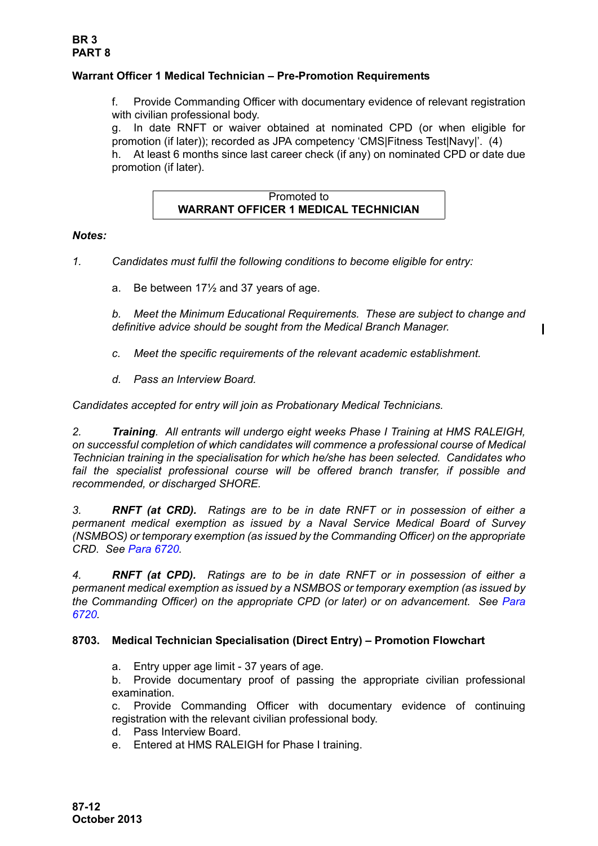## **Warrant Officer 1 Medical Technician – Pre-Promotion Requirements**

f. Provide Commanding Officer with documentary evidence of relevant registration with civilian professional body.

g. In date RNFT or waiver obtained at nominated CPD (or when eligible for promotion (if later)); recorded as JPA competency 'CMS|Fitness Test|Navy|'. (4) h. At least 6 months since last career check (if any) on nominated CPD or date due promotion (if later).

> Promoted to **WARRANT OFFICER 1 MEDICAL TECHNICIAN**

### *Notes:*

- <span id="page-11-1"></span>*1. Candidates must fulfil the following conditions to become eligible for entry:*
	- a. Be between 17½ and 37 years of age.

*b. Meet the Minimum Educational Requirements. These are subject to change and definitive advice should be sought from the Medical Branch Manager.*

- *c. Meet the specific requirements of the relevant academic establishment.*
- *d. Pass an Interview Board.*

*Candidates accepted for entry will join as Probationary Medical Technicians.*

*2. Training. All entrants will undergo eight weeks Phase I Training at HMS RALEIGH, on successful completion of which candidates will commence a professional course of Medical Technician training in the specialisation for which he/she has been selected. Candidates who fail the specialist professional course will be offered branch transfer, if possible and recommended, or discharged SHORE.* 

*3. RNFT (at CRD). Ratings are to be in date RNFT or in possession of either a permanent medical exemption as issued by a Naval Service Medical Board of Survey (NSMBOS) or temporary exemption (as issued by the Commanding Officer) on the appropriate CRD. See Para 6720.*

*4. RNFT (at CPD). Ratings are to be in date RNFT or in possession of either a permanent medical exemption as issued by a NSMBOS or temporary exemption (as issued by the Commanding Officer) on the appropriate CPD (or later) or on advancement. See Para 6720.*

### <span id="page-11-0"></span>**8703. Medical Technician Specialisation (Direct Entry) – Promotion Flowchart**

a. Entry upper age limit - 37 years of age.

b. Provide documentary proof of passing the appropriate civilian professional examination.

c. Provide Commanding Officer with documentary evidence of continuing registration with the relevant civilian professional body.

- d. Pass Interview Board.
- e. Entered at HMS RALEIGH for Phase I training.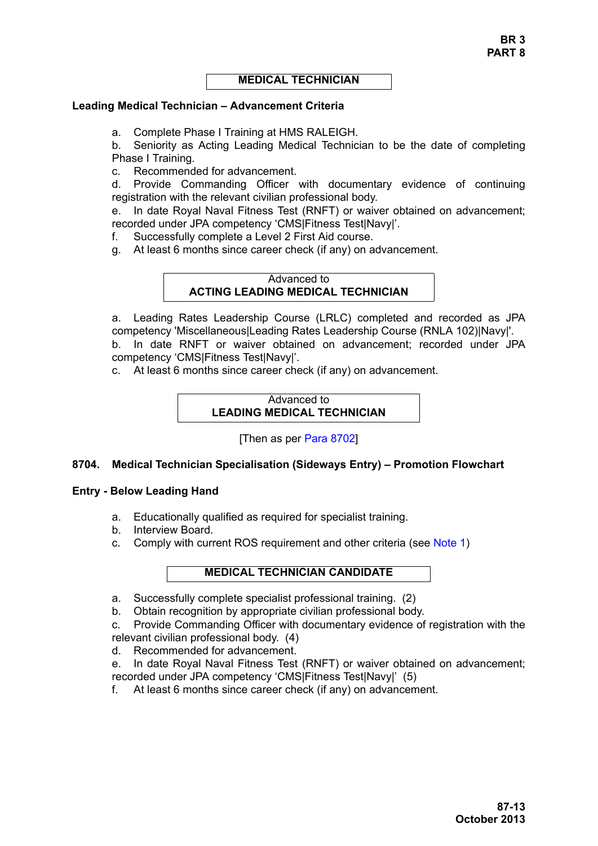#### **MEDICAL TECHNICIAN**

#### **Leading Medical Technician – Advancement Criteria**

a. Complete Phase I Training at HMS RALEIGH.

b. Seniority as Acting Leading Medical Technician to be the date of completing Phase I Training.

c. Recommended for advancement.

d. Provide Commanding Officer with documentary evidence of continuing registration with the relevant civilian professional body.

e. In date Royal Naval Fitness Test (RNFT) or waiver obtained on advancement; recorded under JPA competency 'CMS|Fitness Test|Navy|'.

f. Successfully complete a Level 2 First Aid course.

g. At least 6 months since career check (if any) on advancement.

## Advanced to **ACTING LEADING MEDICAL TECHNICIAN**

a. Leading Rates Leadership Course (LRLC) completed and recorded as JPA competency 'Miscellaneous|Leading Rates Leadership Course (RNLA 102)|Navy|'. b. In date RNFT or waiver obtained on advancement; recorded under JPA competency 'CMS|Fitness Test|Navy|'.

c. At least 6 months since career check (if any) on advancement.

## Advanced to **LEADING MEDICAL TECHNICIAN**

[Then as per [Para 8702\]](#page-9-1)

### <span id="page-12-0"></span>**8704. Medical Technician Specialisation (Sideways Entry) – Promotion Flowchart**

#### **Entry - Below Leading Hand**

- a. Educationally qualified as required for specialist training.
- b. Interview Board.
- c. Comply with current ROS requirement and other criteria (see [Note 1](#page-14-0))

#### **MEDICAL TECHNICIAN CANDIDATE**

- a. Successfully complete specialist professional training. (2)
- b. Obtain recognition by appropriate civilian professional body.

c. Provide Commanding Officer with documentary evidence of registration with the relevant civilian professional body. (4)

- d. Recommended for advancement.
- e. In date Royal Naval Fitness Test (RNFT) or waiver obtained on advancement; recorded under JPA competency 'CMS|Fitness Test|Navy|' (5)
- f. At least 6 months since career check (if any) on advancement.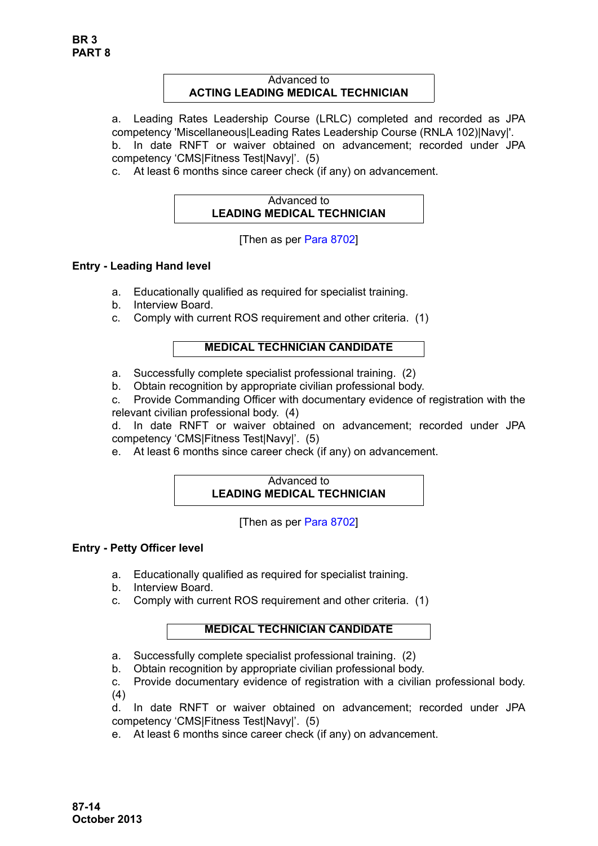## Advanced to **ACTING LEADING MEDICAL TECHNICIAN**

a. Leading Rates Leadership Course (LRLC) completed and recorded as JPA competency 'Miscellaneous|Leading Rates Leadership Course (RNLA 102)|Navy|'. b. In date RNFT or waiver obtained on advancement; recorded under JPA

competency 'CMS|Fitness Test|Navy|'. (5)

c. At least 6 months since career check (if any) on advancement.

# Advanced to **LEADING MEDICAL TECHNICIAN**

[Then as per [Para 8702\]](#page-9-1)

# **Entry - Leading Hand level**

- a. Educationally qualified as required for specialist training.
- b. Interview Board.
- c. Comply with current ROS requirement and other criteria. (1)

# **MEDICAL TECHNICIAN CANDIDATE**

- a. Successfully complete specialist professional training. (2)
- b. Obtain recognition by appropriate civilian professional body.

c. Provide Commanding Officer with documentary evidence of registration with the relevant civilian professional body. (4)

d. In date RNFT or waiver obtained on advancement; recorded under JPA competency 'CMS|Fitness Test|Navy|'. (5)

e. At least 6 months since career check (if any) on advancement.

# Advanced to **LEADING MEDICAL TECHNICIAN**

[Then as per [Para 8702\]](#page-9-1)

# **Entry - Petty Officer level**

- a. Educationally qualified as required for specialist training.
- b. Interview Board.
- c. Comply with current ROS requirement and other criteria. (1)

# **MEDICAL TECHNICIAN CANDIDATE**

- a. Successfully complete specialist professional training. (2)
- b. Obtain recognition by appropriate civilian professional body.
- c. Provide documentary evidence of registration with a civilian professional body. (4)

d. In date RNFT or waiver obtained on advancement; recorded under JPA competency 'CMS|Fitness Test|Navy|'. (5)

e. At least 6 months since career check (if any) on advancement.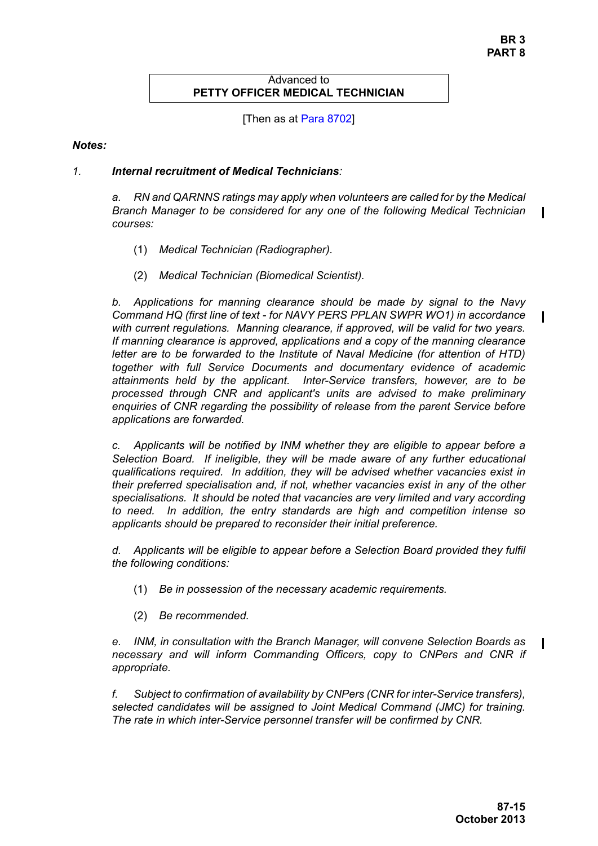### Advanced to **PETTY OFFICER MEDICAL TECHNICIAN**

[Then as at [Para 8702](#page-9-1)]

### *Notes:*

## <span id="page-14-0"></span>*1. Internal recruitment of Medical Technicians:*

*a. RN and QARNNS ratings may apply when volunteers are called for by the Medical Branch Manager to be considered for any one of the following Medical Technician courses:*

- (1) *Medical Technician (Radiographer).*
- (2) *Medical Technician (Biomedical Scientist).*

*b. Applications for manning clearance should be made by signal to the Navy Command HQ (first line of text - for NAVY PERS PPLAN SWPR WO1) in accordance with current regulations. Manning clearance, if approved, will be valid for two years. If manning clearance is approved, applications and a copy of the manning clearance letter are to be forwarded to the Institute of Naval Medicine (for attention of HTD) together with full Service Documents and documentary evidence of academic attainments held by the applicant. Inter-Service transfers, however, are to be processed through CNR and applicant's units are advised to make preliminary enquiries of CNR regarding the possibility of release from the parent Service before applications are forwarded.*

*c. Applicants will be notified by INM whether they are eligible to appear before a Selection Board. If ineligible, they will be made aware of any further educational qualifications required. In addition, they will be advised whether vacancies exist in their preferred specialisation and, if not, whether vacancies exist in any of the other specialisations. It should be noted that vacancies are very limited and vary according to need. In addition, the entry standards are high and competition intense so applicants should be prepared to reconsider their initial preference.*

*d. Applicants will be eligible to appear before a Selection Board provided they fulfil the following conditions:*

- (1) *Be in possession of the necessary academic requirements.*
- (2) *Be recommended.*

*e. INM, in consultation with the Branch Manager, will convene Selection Boards as necessary and will inform Commanding Officers, copy to CNPers and CNR if appropriate.*

*f. Subject to confirmation of availability by CNPers (CNR for inter-Service transfers), selected candidates will be assigned to Joint Medical Command (JMC) for training. The rate in which inter-Service personnel transfer will be confirmed by CNR.*